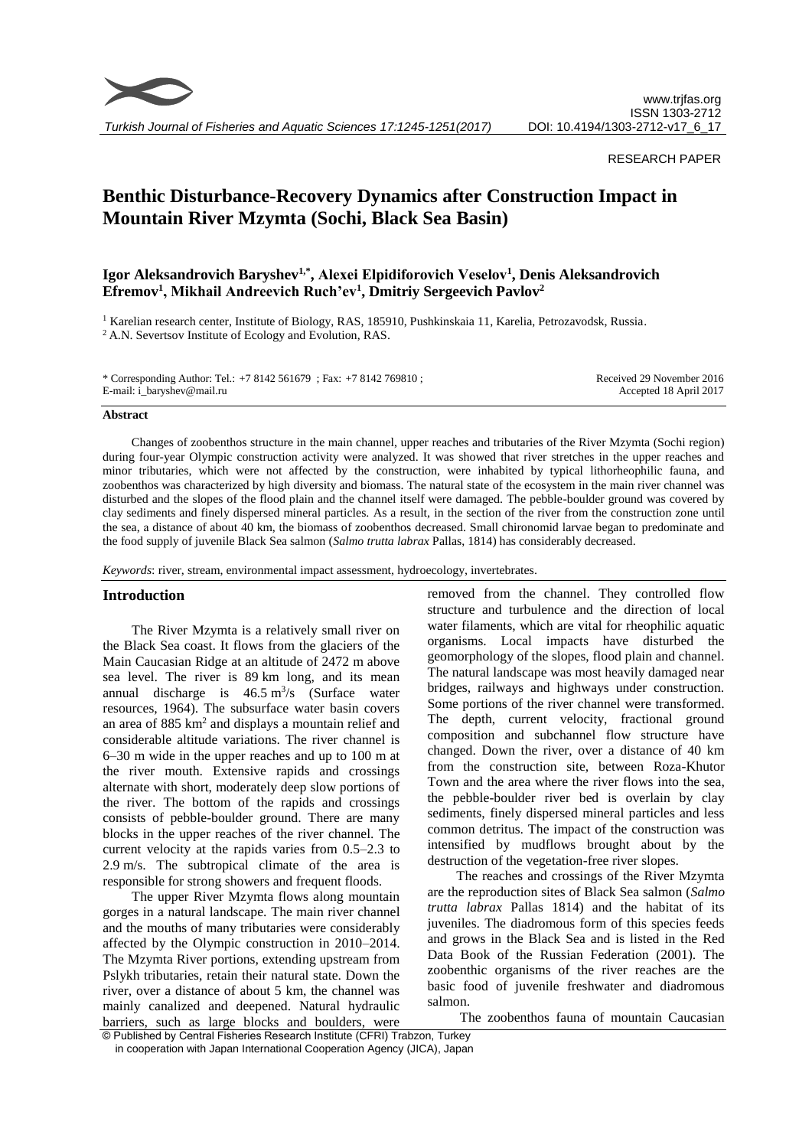

*Turkish Journal of Fisheries and Aquatic Sciences 17:1245-1251(2017)*

### RESEARCH PAPER

# **Benthic Disturbance-Recovery Dynamics after Construction Impact in Mountain River Mzymta (Sochi, Black Sea Basin)**

# **Igor Aleksandrovich Baryshev1,\* , Аlexei Elpidiforovich Veselov<sup>1</sup> , Denis Aleksandrovich Efremov<sup>1</sup> , Мikhail Andreevich Ruch'ev<sup>1</sup> , Dmitriy Sergeevich Pavlov<sup>2</sup>**

<sup>1</sup> Karelian research center, Institute of Biology, RAS, 185910, Pushkinskaia 11, Karelia, Petrozavodsk, Russia.

<sup>2</sup> A.N. Severtsov Institute of Ecology and Evolution, RAS.

\* Corresponding Author: Tel.: +7 8142 561679 ; Fax: +7 8142 769810 ; E-mail: i\_baryshev@mail.ru

Received 29 November 2016 Accepted 18 April 2017

#### **Abstract**

Changes of zoobenthos structure in the main channel, upper reaches and tributaries of the River Mzymta (Sochi region) during four-year Olympic construction activity were analyzed. It was showed that river stretches in the upper reaches and minor tributaries, which were not affected by the construction, were inhabited by typical lithorheophilic fauna, and zoobenthos was characterized by high diversity and biomass. The natural state of the ecosystem in the main river channel was disturbed and the slopes of the flood plain and the channel itself were damaged. The pebble-boulder ground was covered by clay sediments and finely dispersed mineral particles. As a result, in the section of the river from the construction zone until the sea, а distance of about 40 km, the biomass of zoobenthos decreased. Small chironomid larvae began to predominate and the food supply of juvenile Black Sea salmon (*Salmo trutta labrax* Pallas, 1814) has considerably decreased.

*Keywords*: river, stream, environmental impact assessment, hydroecology, invertebrates.

#### **Introduction**

The River Mzymta is a relatively small river on the Black Sea coast. It flows from the glaciers of the Main Caucasian Ridge at an altitude of 2472 m above sea level. The river is 89 km long, and its mean annual discharge is  $46.5 \text{ m}^3\text{/s}$  (Surface water resources, 1964). The subsurface water basin covers an area of 885 km<sup>2</sup> and displays a mountain relief and considerable altitude variations. The river channel is 6–30 m wide in the upper reaches and up to 100 m at the river mouth. Extensive rapids and crossings alternate with short, moderately deep slow portions of the river. The bottom of the rapids and crossings consists of pebble-boulder ground. There are many blocks in the upper reaches of the river channel. The current velocity at the rapids varies from 0.5–2.3 to 2.9 m/s. The subtropical climate of the area is responsible for strong showers and frequent floods.

The upper River Mzymta flows along mountain gorges in a natural landscape. The main river channel and the mouths of many tributaries were considerably affected by the Olympic construction in 2010–2014. The Mzymta River portions, extending upstream from Pslykh tributaries, retain their natural state. Down the river, over a distance of about 5 km, the channel was mainly canalized and deepened. Natural hydraulic barriers, such as large blocks and boulders, were

removed from the channel. They controlled flow structure and turbulence and the direction of local water filaments, which are vital for rheophilic aquatic organisms. Local impacts have disturbed the geomorphology of the slopes, flood plain and channel. The natural landscape was most heavily damaged near bridges, railways and highways under construction. Some portions of the river channel were transformed. The depth, current velocity, fractional ground composition and subchannel flow structure have changed. Down the river, over a distance of 40 km from the construction site, between Roza-Khutor Town and the area where the river flows into the sea, the pebble-boulder river bed is overlain by clay sediments, finely dispersed mineral particles and less common detritus. The impact of the construction was intensified by mudflows brought about by the destruction of the vegetation-free river slopes.

The reaches and crossings of the River Mzymta are the reproduction sites of Black Sea salmon (*Salmo trutta labrax* Pallas 1814) and the habitat of its juveniles. The diadromous form of this species feeds and grows in the Black Sea and is listed in the Red Data Book of the Russian Federation (2001). The zoobenthic organisms of the river reaches are the basic food of juvenile freshwater and diadromous salmon.

The zoobenthos fauna of mountain Caucasian

<sup>©</sup> Published by Central Fisheries Research Institute (CFRI) Trabzon, Turkey in cooperation with Japan International Cooperation Agency (JICA), Japan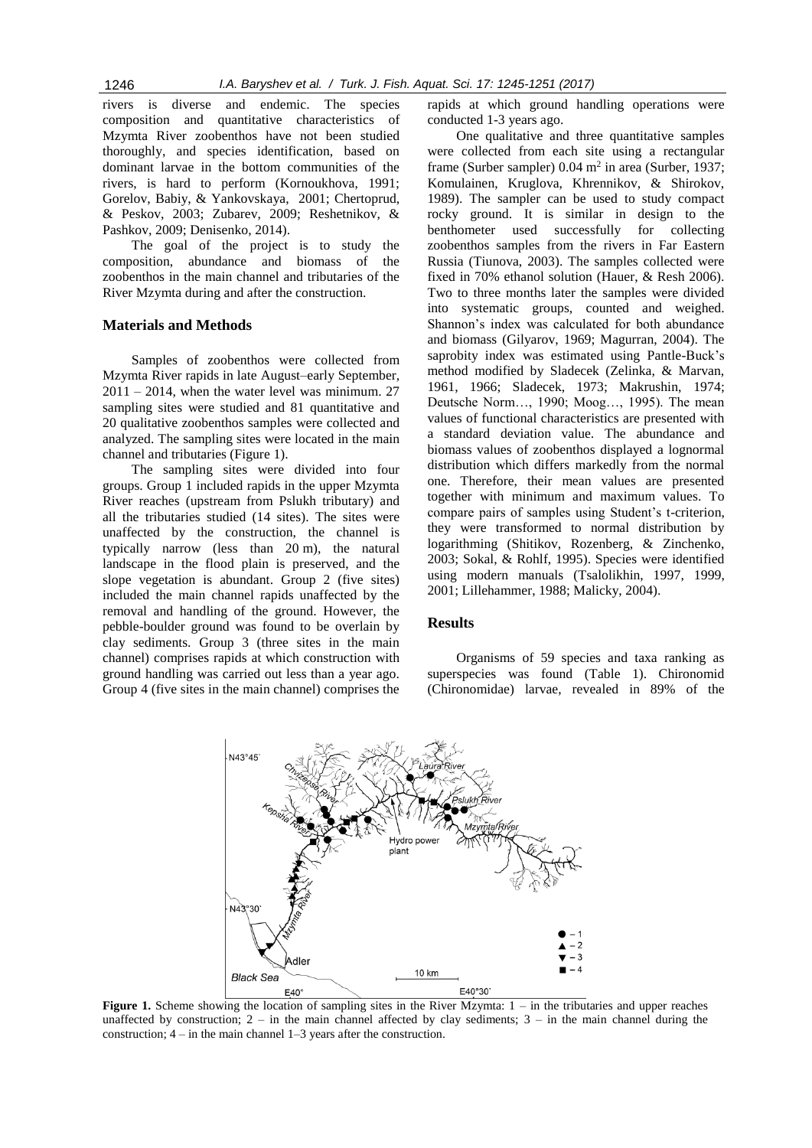rivers is diverse and endemic. The species composition and quantitative characteristics of Mzymta River zoobenthos have not been studied thoroughly, and species identification, based on dominant larvae in the bottom communities of the rivers, is hard to perform (Kornoukhova, 1991; Gorelov, Babiy, & Yankovskaya, 2001; Chertoprud, & Peskov, 2003; Zubarev, 2009; Reshetnikov, & Pashkov, 2009; Denisenko, 2014).

The goal of the project is to study the composition, abundance and biomass of the zoobenthos in the main channel and tributaries of the River Mzymta during and after the construction.

# **Materials and Methods**

Samples of zoobenthos were collected from Mzymta River rapids in late August–early September,  $2011 - 2014$ , when the water level was minimum. 27 sampling sites were studied and 81 quantitative and 20 qualitative zoobenthos samples were collected and analyzed. The sampling sites were located in the main channel and tributaries (Figure 1).

The sampling sites were divided into four groups. Group 1 included rapids in the upper Mzymta River reaches (upstream from Pslukh tributary) and all the tributaries studied (14 sites). The sites were unaffected by the construction, the channel is typically narrow (less than 20 m), the natural landscape in the flood plain is preserved, and the slope vegetation is abundant. Group 2 (five sites) included the main channel rapids unaffected by the removal and handling of the ground. However, the pebble-boulder ground was found to be overlain by clay sediments. Group 3 (three sites in the main channel) comprises rapids at which construction with ground handling was carried out less than a year ago. Group 4 (five sites in the main channel) comprises the

rapids at which ground handling operations were conducted 1-3 years ago.

One qualitative and three quantitative samples were collected from each site using a rectangular frame (Surber sampler)  $0.04$  m<sup>2</sup> in area (Surber, 1937; Komulainen, Kruglova, Khrennikov, & Shirokov, 1989). The sampler can be used to study compact rocky ground. It is similar in design to the benthometer used successfully for collecting zoobenthos samples from the rivers in Far Eastern Russia (Tiunova, 2003). The samples collected were fixed in 70% ethanol solution (Hauer, & Resh 2006). Two to three months later the samples were divided into systematic groups, counted and weighed. Shannon's index was calculated for both abundance and biomass (Gilyarov, 1969; Magurran, 2004). The saprobity index was estimated using Pantle-Buck's method modified by Sladecek (Zelinka, & Marvan, 1961, 1966; Sladecek, 1973; Makrushin, 1974; Deutsche Norm…, 1990; Moog…, 1995). The mean values of functional characteristics are presented with a standard deviation value. The abundance and biomass values of zoobenthos displayed a lognormal distribution which differs markedly from the normal one. Therefore, their mean values are presented together with minimum and maximum values. To compare pairs of samples using Student's t-criterion, they were transformed to normal distribution by logarithming (Shitikov, Rozenberg, & Zinchenko, 2003; Sokal, & Rohlf, 1995). Species were identified using modern manuals (Tsalolikhin, 1997, 1999, 2001; Lillehammer, 1988; Malicky, 2004).

## **Results**

Organisms of 59 species and taxa ranking as superspecies was found (Table 1). Chironomid (Chironomidae) larvae, revealed in 89% of the



**Figure 1.** Scheme showing the location of sampling sites in the River Mzymta:  $1 -$  in the tributaries and upper reaches unaffected by construction;  $2 - in$  the main channel affected by clay sediments;  $3 - in$  the main channel during the construction; 4 – in the main channel 1–3 years after the construction.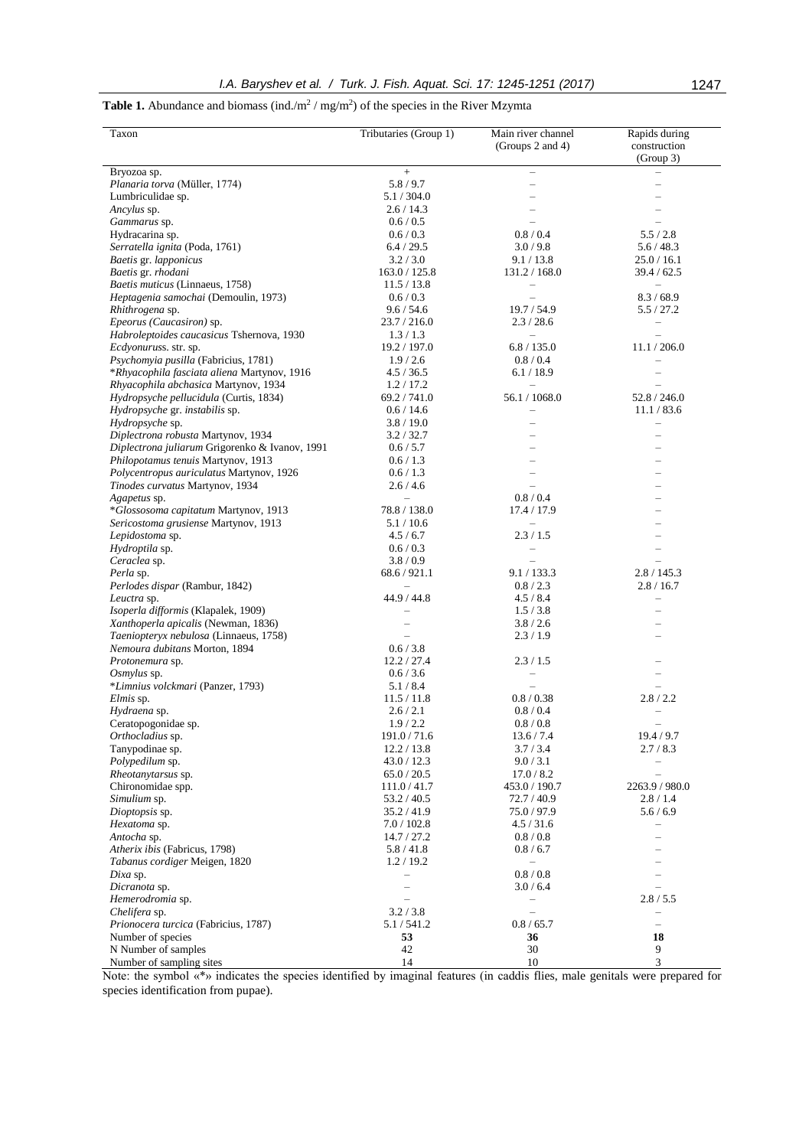**Table 1.** Abundance and biomass (ind./ $m^2$  / mg/m<sup>2</sup>) of the species in the River Mzymta

| Taxon                                                 | Tributaries (Group 1)        | Main river channel<br>(Groups 2 and 4)    | Rapids during<br>construction           |
|-------------------------------------------------------|------------------------------|-------------------------------------------|-----------------------------------------|
|                                                       |                              |                                           | (Group 3)                               |
| Bryozoa sp.                                           | $+$                          |                                           |                                         |
| Planaria torva (Müller, 1774)                         | 5.8/9.7                      |                                           |                                         |
| Lumbriculidae sp.                                     | 5.1 / 304.0                  |                                           |                                         |
| Ancylus sp.                                           | 2.6/14.3                     |                                           |                                         |
| Gammarus sp.                                          | 0.6 / 0.5                    |                                           |                                         |
| Hydracarina sp.                                       | 0.6 / 0.3                    | 0.8 / 0.4                                 | 5.5/2.8                                 |
| Serratella ignita (Poda, 1761)                        | 6.4 / 29.5                   | 3.0/9.8                                   | 5.6/48.3                                |
| Baetis gr. lapponicus                                 | 3.2 / 3.0                    | 9.1 / 13.8                                | 25.0 / 16.1                             |
| Baetis gr. rhodani<br>Baetis muticus (Linnaeus, 1758) | 163.0 / 125.8<br>11.5 / 13.8 | 131.2 / 168.0<br>$\overline{\phantom{0}}$ | 39.4 / 62.5<br>$\overline{\phantom{0}}$ |
| Heptagenia samochai (Demoulin, 1973)                  | 0.6 / 0.3                    |                                           | 8.3 / 68.9                              |
| Rhithrogena sp.                                       | 9.6 / 54.6                   | 19.7 / 54.9                               | 5.5/27.2                                |
| Epeorus (Caucasiron) sp.                              | 23.7/216.0                   | 2.3/28.6                                  | $\qquad \qquad -$                       |
| Habroleptoides caucasicus Tshernova, 1930             | 1.3/1.3                      | $\qquad \qquad -$                         |                                         |
| Ecdyonuruss. str. sp.                                 | 19.2 / 197.0                 | 6.8 / 135.0                               | 11.1 / 206.0                            |
| Psychomyia pusilla (Fabricius, 1781)                  | 1.9/2.6                      | 0.8 / 0.4                                 | $\overline{\phantom{0}}$                |
| *Rhyacophila fasciata aliena Martynov, 1916           | 4.5 / 36.5                   | 6.1 / 18.9                                | $\overline{\phantom{0}}$                |
| Rhyacophila abchasica Martynov, 1934                  | 1.2 / 17.2                   | $\overline{\phantom{0}}$                  |                                         |
| Hydropsyche pellucidula (Curtis, 1834)                | 69.2 / 741.0                 | 56.1 / 1068.0                             | 52.8 / 246.0                            |
| Hydropsyche gr. instabilis sp.                        | 0.6 / 14.6                   | $\overline{\phantom{0}}$                  | 11.1 / 83.6                             |
| Hydropsyche sp.                                       | 3.8/19.0                     | $\overline{\phantom{0}}$                  | $\overline{\phantom{0}}$                |
| Diplectrona robusta Martynov, 1934                    | 3.2 / 32.7                   |                                           |                                         |
| Diplectrona juliarum Grigorenko & Ivanov, 1991        | 0.6 / 5.7                    |                                           |                                         |
| Philopotamus tenuis Martynov, 1913                    | 0.6 / 1.3                    |                                           |                                         |
| Polycentropus auriculatus Martynov, 1926              | 0.6 / 1.3                    |                                           |                                         |
| Tinodes curvatus Martynov, 1934                       | 2.6/4.6                      |                                           |                                         |
| Agapetus sp.                                          | $\overline{\phantom{a}}$     | 0.8 / 0.4                                 |                                         |
| *Glossosoma capitatum Martynov, 1913                  | 78.8 / 138.0                 | 17.4 / 17.9                               |                                         |
| Sericostoma grusiense Martynov, 1913                  | 5.1/10.6                     |                                           |                                         |
| Lepidostoma sp.                                       | 4.5 / 6.7                    | 2.3/1.5                                   |                                         |
| Hydroptila sp.                                        | 0.6 / 0.3                    |                                           |                                         |
| Ceraclea sp.<br>Perla sp.                             | 3.8/0.9<br>68.6 / 921.1      | 9.1 / 133.3                               |                                         |
| Perlodes dispar (Rambur, 1842)                        |                              | 0.8 / 2.3                                 | 2.8 / 145.3<br>2.8 / 16.7               |
| Leuctra sp.                                           | 44.9 / 44.8                  | 4.5 / 8.4                                 | $\overline{\phantom{0}}$                |
| Isoperla difformis (Klapalek, 1909)                   |                              | 1.5/3.8                                   |                                         |
| Xanthoperla apicalis (Newman, 1836)                   |                              | 3.8 / 2.6                                 |                                         |
| Taeniopteryx nebulosa (Linnaeus, 1758)                |                              | 2.3/1.9                                   |                                         |
| Nemoura dubitans Morton, 1894                         | 0.6 / 3.8                    |                                           |                                         |
| Protonemura sp.                                       | 12.2 / 27.4                  | 2.3 / 1.5                                 |                                         |
| Osmylus sp.                                           | 0.6 / 3.6                    |                                           |                                         |
| *Limnius volckmari (Panzer, 1793)                     | 5.1/8.4                      |                                           |                                         |
| Elmis sp.                                             | 11.5 / 11.8                  | 0.8 / 0.38                                | 2.8/2.2                                 |
| Hydraena sp.                                          | 2.6 / 2.1                    | 0.8 / 0.4                                 |                                         |
| Ceratopogonidae sp.                                   | 1.9/2.2                      | 0.8 / 0.8                                 |                                         |
| Orthocladius sp.                                      | 191.0/71.6                   | 13.6 / 7.4                                | 19.4 / 9.7                              |
| Tanypodinae sp.                                       | 12.2 / 13.8                  | 3.7 / 3.4                                 | 2.7/8.3                                 |
| Polypedilum sp.                                       | 43.0 / 12.3                  | 9.0 / 3.1                                 |                                         |
| <i>Rheotanytarsus</i> sp.                             | 65.0 / 20.5                  | 17.0 / 8.2                                | L.                                      |
| Chironomidae spp.                                     | 111.0 / 41.7                 | 453.0 / 190.7                             | 2263.9 / 980.0                          |
| Simulium sp.<br>Dioptopsis sp.                        | 53.2 / 40.5<br>35.2 / 41.9   | 72.7 / 40.9<br>75.0/97.9                  | 2.8/1.4<br>5.6/6.9                      |
| Hexatoma sp.                                          | 7.0 / 102.8                  | 4.5 / 31.6                                | $\overline{\phantom{0}}$                |
| Antocha sp.                                           | 14.7 / 27.2                  | 0.8 / 0.8                                 |                                         |
| Atherix ibis (Fabricus, 1798)                         | 5.8/41.8                     | 0.8 / 6.7                                 |                                         |
| Tabanus cordiger Meigen, 1820                         | 1.2 / 19.2                   | $\overline{\phantom{0}}$                  |                                         |
| Dixa sp.                                              |                              | 0.8 / 0.8                                 |                                         |
| Dicranota sp.                                         |                              | 3.0 / 6.4                                 |                                         |
| Hemerodromia sp.                                      |                              | $\overline{\phantom{0}}$                  | 2.8 / 5.5                               |
| Chelifera sp.                                         | 3.2 / 3.8                    |                                           |                                         |
| Prionocera turcica (Fabricius, 1787)                  | 5.1/541.2                    | 0.8 / 65.7                                | $\overline{\phantom{0}}$                |
| Number of species                                     | 53                           | 36                                        | 18                                      |
| N Number of samples                                   | 42                           | 30                                        | 9                                       |
| Number of sampling sites                              | 14                           | 10                                        | 3                                       |

Note: the symbol «\*» indicates the species identified by imaginal features (in caddis flies, male genitals were prepared for species identification from pupae).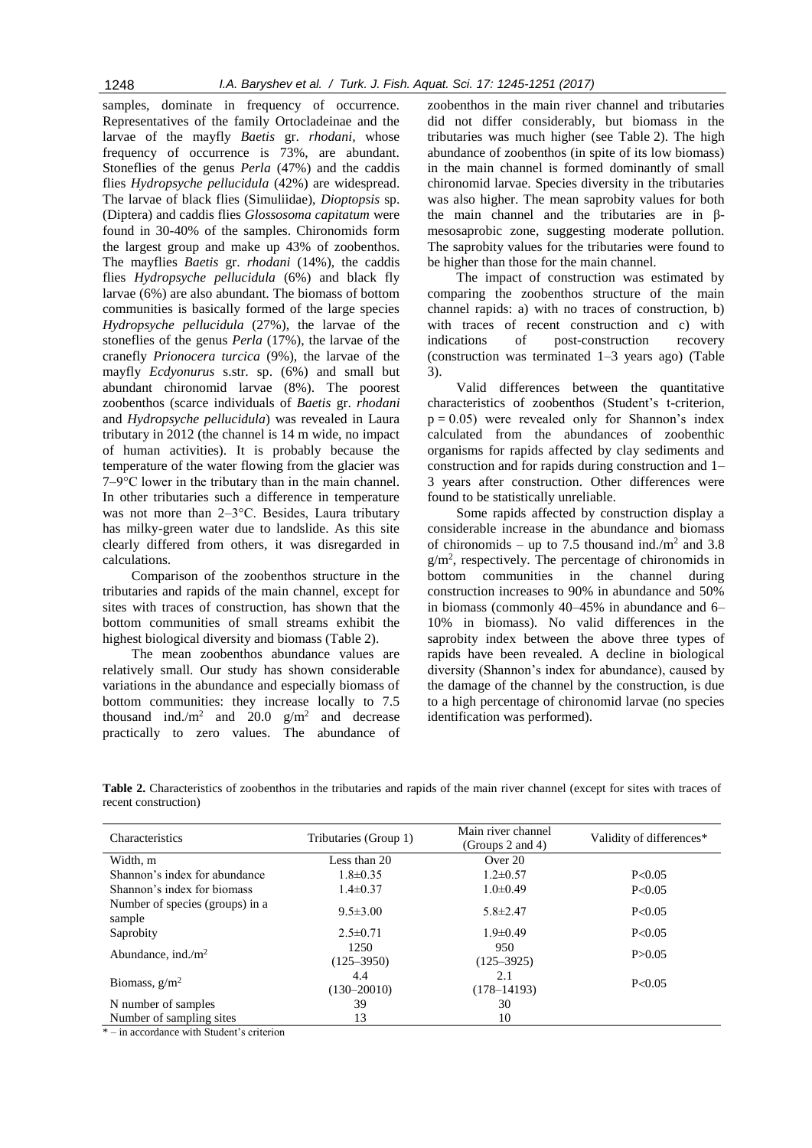samples, dominate in frequency of occurrence. Representatives of the family Ortocladeinae and the larvae of the mayfly *Baetis* gr. *rhodani,* whose frequency of occurrence is 73%, are abundant. Stoneflies of the genus *Perla* (47%) and the caddis flies *Hydropsyche pellucidula* (42%) are widespread. The larvae of black flies (Simuliidae), *Dioptopsis* sp. (Diptera) and caddis flies *Glossosoma capitatum* were found in 30-40% of the samples. Chironomids form the largest group and make up 43% of zoobenthos. The mayflies *Baetis* gr. *rhodani* (14%), the caddis flies *Hydropsyche pellucidula* (6%) and black fly larvae (6%) are also abundant. The biomass of bottom communities is basically formed of the large species *Hydropsyche pellucidula* (27%), the larvae of the stoneflies of the genus *Perla* (17%), the larvae of the cranefly *Prionocera turcica* (9%), the larvae of the mayfly *Ecdyonurus* s.str. sp. (6%) and small but abundant chironomid larvae (8%). The poorest zoobenthos (scarce individuals of *Baetis* gr. *rhodani* and *Hydropsyche pellucidula*) was revealed in Laura tributary in 2012 (the channel is 14 m wide, no impact of human activities). It is probably because the temperature of the water flowing from the glacier was 7–9°С lower in the tributary than in the main channel. In other tributaries such a difference in temperature was not more than 2–3°C. Besides, Laura tributary has milky-green water due to landslide. As this site clearly differed from others, it was disregarded in calculations.

Comparison of the zoobenthos structure in the tributaries and rapids of the main channel, except for sites with traces of construction, has shown that the bottom communities of small streams exhibit the highest biological diversity and biomass (Table 2).

The mean zoobenthos abundance values are relatively small. Our study has shown considerable variations in the abundance and especially biomass of bottom communities: they increase locally to 7.5 thousand ind./m<sup>2</sup> and 20.0  $g/m^2$  and decrease practically to zero values. The abundance of

zoobenthos in the main river channel and tributaries did not differ considerably, but biomass in the tributaries was much higher (see Table 2). The high abundance of zoobenthos (in spite of its low biomass) in the main channel is formed dominantly of small chironomid larvae. Species diversity in the tributaries was also higher. The mean saprobity values for both the main channel and the tributaries are in βmesosaprobic zone, suggesting moderate pollution. The saprobity values for the tributaries were found to be higher than those for the main channel.

The impact of construction was estimated by comparing the zoobenthos structure of the main channel rapids: a) with no traces of construction, b) with traces of recent construction and c) with indications of post-construction recovery (construction was terminated 1–3 years ago) (Table 3).

Valid differences between the quantitative characteristics of zoobenthos (Student's t-criterion,  $p = 0.05$ ) were revealed only for Shannon's index calculated from the abundances of zoobenthic organisms for rapids affected by clay sediments and construction and for rapids during construction and 1– 3 years after construction. Other differences were found to be statistically unreliable.

Some rapids affected by construction display a considerable increase in the abundance and biomass of chironomids – up to 7.5 thousand ind./ $m<sup>2</sup>$  and 3.8  $g/m<sup>2</sup>$ , respectively. The percentage of chironomids in bottom communities in the channel during construction increases to 90% in abundance and 50% in biomass (commonly 40–45% in abundance and 6– 10% in biomass). No valid differences in the saprobity index between the above three types of rapids have been revealed. A decline in biological diversity (Shannon's index for abundance), caused by the damage of the channel by the construction, is due to a high percentage of chironomid larvae (no species identification was performed).

**Table 2.** Characteristics of zoobenthos in the tributaries and rapids of the main river channel (except for sites with traces of recent construction)

| Characteristics                           | Tributaries (Group 1)  | Main river channel<br>(Groups 2 and 4) | Validity of differences* |
|-------------------------------------------|------------------------|----------------------------------------|--------------------------|
| Width, m                                  | Less than 20           | Over 20                                |                          |
| Shannon's index for abundance             | $1.8 \pm 0.35$         | $1.2 \pm 0.57$                         | P<0.05                   |
| Shannon's index for biomass               | $1.4 \pm 0.37$         | $1.0 \pm 0.49$                         | P < 0.05                 |
| Number of species (groups) in a<br>sample | $9.5 \pm 3.00$         | $5.8 \pm 2.47$                         | P<0.05                   |
| Saprobity                                 | $2.5 \pm 0.71$         | $1.9 \pm 0.49$                         | P<0.05                   |
| Abundance, ind./ $m2$                     | 1250<br>$(125 - 3950)$ | 950<br>$(125 - 3925)$                  | P > 0.05                 |
| Biomass, $g/m^2$                          | 4.4<br>$(130 - 20010)$ | 2.1<br>$(178 - 14193)$                 | P<0.05                   |
| N number of samples                       | 39                     | 30                                     |                          |
| Number of sampling sites                  | 13                     | 10                                     |                          |

\* – in accordance with Student's criterion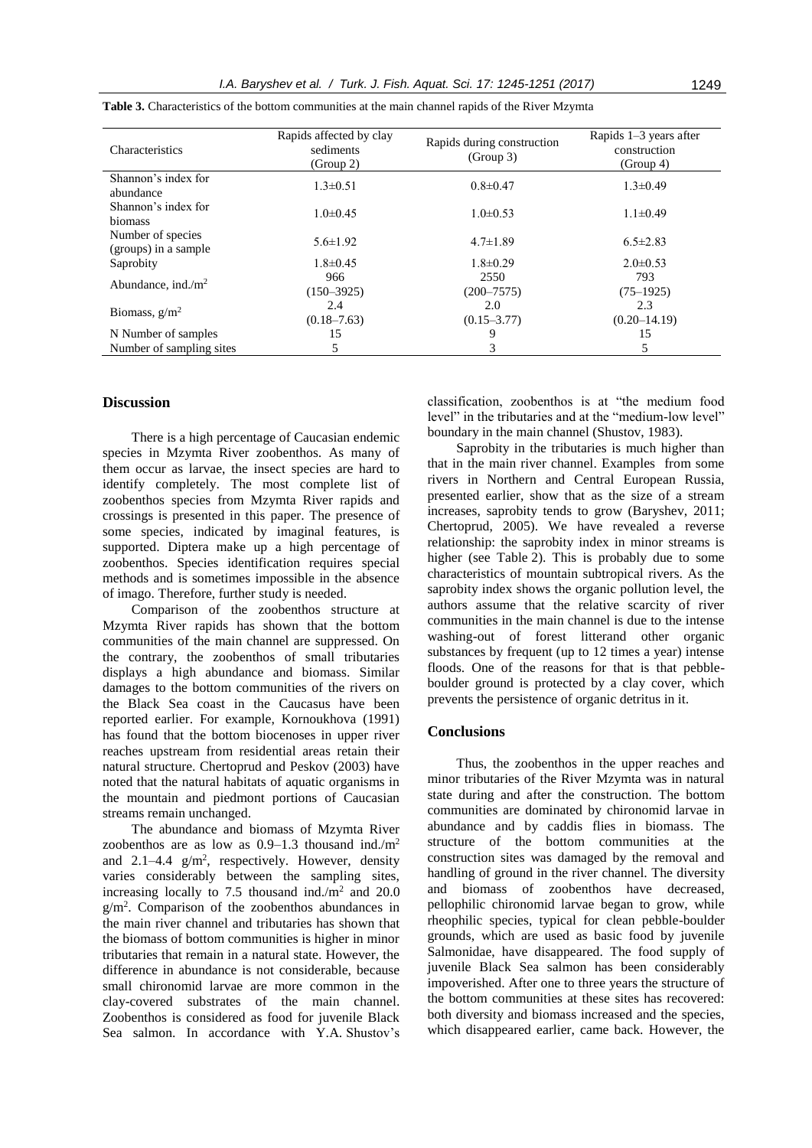| Characteristics                           | Rapids affected by clay<br>sediments<br>(Group 2) | Rapids during construction<br>(Group 3) | Rapids $1-3$ years after<br>construction<br>(Group 4) |
|-------------------------------------------|---------------------------------------------------|-----------------------------------------|-------------------------------------------------------|
| Shannon's index for<br>abundance          | $1.3 \pm 0.51$                                    | $0.8 \pm 0.47$                          | $1.3 \pm 0.49$                                        |
| Shannon's index for<br>biomass            | $1.0 \pm 0.45$                                    | $1.0\pm 0.53$                           | $1.1 \pm 0.49$                                        |
| Number of species<br>(groups) in a sample | $5.6 \pm 1.92$                                    | $4.7 \pm 1.89$                          | $6.5 \pm 2.83$                                        |
| Saprobity                                 | $1.8 \pm 0.45$                                    | $1.8 \pm 0.29$                          | $2.0 \pm 0.53$                                        |
| Abundance, ind./ $m2$                     | 966<br>$(150 - 3925)$                             | 2550<br>$(200 - 7575)$                  | 793<br>$(75-1925)$                                    |
| Biomass, $g/m^2$                          | 2.4<br>$(0.18 - 7.63)$                            | 2.0<br>$(0.15 - 3.77)$                  | 2.3<br>$(0.20 - 14.19)$                               |
| N Number of samples                       | 15                                                | 9                                       | 15                                                    |
| Number of sampling sites                  | 5                                                 | 3                                       | 5                                                     |

**Table 3.** Characteristics of the bottom communities at the main channel rapids of the River Mzymta

#### **Discussion**

There is a high percentage of Caucasian endemic species in Mzymta River zoobenthos. As many of them occur as larvae, the insect species are hard to identify completely. The most complete list of zoobenthos species from Mzymta River rapids and crossings is presented in this paper. The presence of some species, indicated by imaginal features, is supported. Diptera make up a high percentage of zoobenthos. Species identification requires special methods and is sometimes impossible in the absence of imago. Therefore, further study is needed.

Comparison of the zoobenthos structure at Mzymta River rapids has shown that the bottom communities of the main channel are suppressed. On the contrary, the zoobenthos of small tributaries displays a high abundance and biomass. Similar damages to the bottom communities of the rivers on the Black Sea coast in the Caucasus have been reported earlier. For example, Kornoukhova (1991) has found that the bottom biocenoses in upper river reaches upstream from residential areas retain their natural structure. Chertoprud and Peskov (2003) have noted that the natural habitats of aquatic organisms in the mountain and piedmont portions of Caucasian streams remain unchanged.

The abundance and biomass of Mzymta River zoobenthos are as low as  $0.9-1.3$  thousand ind./m<sup>2</sup> and  $2.1-4.4$  g/m<sup>2</sup>, respectively. However, density varies considerably between the sampling sites, increasing locally to  $7.5$  thousand ind./m<sup>2</sup> and  $20.0$  $g/m<sup>2</sup>$ . Comparison of the zoobenthos abundances in the main river channel and tributaries has shown that the biomass of bottom communities is higher in minor tributaries that remain in a natural state. However, the difference in abundance is not considerable, because small chironomid larvae are more common in the clay-covered substrates of the main channel. Zoobenthos is considered as food for juvenile Black Sea salmon. In accordance with Y.A. Shustov's

classification, zoobenthos is at "the medium food level" in the tributaries and at the "medium-low level" boundary in the main channel (Shustov, 1983).

Saprobity in the tributaries is much higher than that in the main river channel. Examples from some rivers in Northern and Central European Russia, presented earlier, show that as the size of a stream increases, saprobity tends to grow (Baryshev, 2011; Chertoprud, 2005). We have revealed a reverse relationship: the saprobity index in minor streams is higher (see Table 2). This is probably due to some characteristics of mountain subtropical rivers. As the saprobity index shows the organic pollution level, the authors assume that the relative scarcity of river communities in the main channel is due to the intense washing-out of forest litterand other organic substances by frequent (up to 12 times a year) intense floods. One of the reasons for that is that pebbleboulder ground is protected by a clay cover, which prevents the persistence of organic detritus in it.

#### **Conclusions**

Thus, the zoobenthos in the upper reaches and minor tributaries of the River Mzymta was in natural state during and after the construction. The bottom communities are dominated by chironomid larvae in abundance and by caddis flies in biomass. The structure of the bottom communities at the construction sites was damaged by the removal and handling of ground in the river channel. The diversity and biomass of zoobenthos have decreased, pellophilic chironomid larvae began to grow, while rheophilic species, typical for clean pebble-boulder grounds, which are used as basic food by juvenile Salmonidae, have disappeared. The food supply of juvenile Black Sea salmon has been considerably impoverished. After one to three years the structure of the bottom communities at these sites has recovered: both diversity and biomass increased and the species, which disappeared earlier, came back. However, the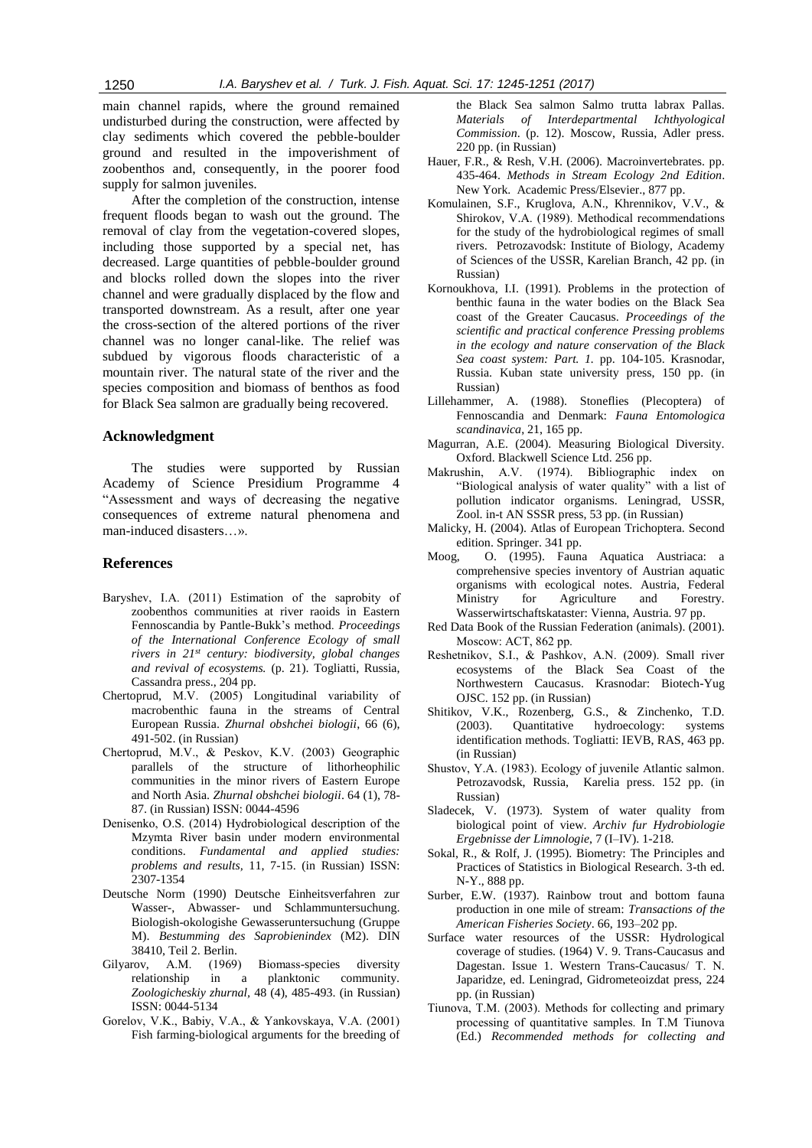main channel rapids, where the ground remained undisturbed during the construction, were affected by clay sediments which covered the pebble-boulder ground and resulted in the impoverishment of zoobenthos and, consequently, in the poorer food supply for salmon juveniles.

After the completion of the construction, intense frequent floods began to wash out the ground. The removal of clay from the vegetation-covered slopes, including those supported by a special net, has decreased. Large quantities of pebble-boulder ground and blocks rolled down the slopes into the river channel and were gradually displaced by the flow and transported downstream. As a result, after one year the cross-section of the altered portions of the river channel was no longer canal-like. The relief was subdued by vigorous floods characteristic of a mountain river. The natural state of the river and the species composition and biomass of benthos as food for Black Sea salmon are gradually being recovered.

#### **Acknowledgment**

The studies were supported by Russian Academy of Science Presidium Programme 4 "Assessment and ways of decreasing the negative consequences of extreme natural phenomena and man-induced disasters…».

## **References**

- Baryshev, I.A. (2011) Estimation of the saprobity of zoobenthos communities at river raoids in Eastern Fennoscandia by Pantle-Bukk's method. *Proceedings of the International Conference Ecology of small rivers in 21st century: biodiversity, global changes and revival of ecosystems.* (p. 21). Togliatti, Russia, Cassandra press., 204 pp.
- Chertoprud, М.V. (2005) Longitudinal variability of macrobenthic fauna in the streams of Central European Russia. *Zhurnal obshchei biologii*, 66 (6), 491-502. (in Russian)
- Chertoprud, М.V., & Peskov, K.V. (2003) Geographic parallels of the structure of lithorheophilic communities in the minor rivers of Eastern Europe and North Asia. *Zhurnal obshchei biologii*. 64 (1), 78- 87. (in Russian) ISSN: 0044-4596
- Denisenko, О.S. (2014) Hydrobiological description of the Mzymta River basin under modern environmental conditions. *Fundamental and applied studies: problems and results,* 11, 7-15. (in Russian) ISSN: 2307-1354
- Deutsche Norm (1990) Deutsche Einheitsverfahren zur Wasser-, Abwasser- und Schlammuntersuchung. Biologish-okologishe Gewasseruntersuchung (Gruppe M). *Bestumming des Saprobienindex* (M2). DIN 38410, Teil 2. Berlin.
- Gilyarov, A.M. (1969) Biomass-species diversity relationship in a planktonic community. *Zoologicheskiy zhurnal,* 48 (4), 485-493. (in Russian) ISSN: 0044-5134
- Gorelov, V.K., Babiy, V.A., & Yankovskaya, V.А. (2001) Fish farming-biological arguments for the breeding of

the Black Sea salmon Salmo trutta labrax Pallas. *Materials of Interdepartmental Ichthyological Commission*. (p. 12). Moscow, Russia, Adler press. 220 pp. (in Russian)

- Hauer, F.R., & Resh, V.H. (2006). Macroinvertebrates. pp. 435-464. *Methods in Stream Ecology 2nd Edition*. New York. Academic Press/Elsevier., 877 pp.
- Komulainen, S.F., Kruglova, A.N., Khrennikov, V.V., & Shirokov, V.А. (1989). Methodical recommendations for the study of the hydrobiological regimes of small rivers. Petrozavodsk: Institute of Biology, Academy of Sciences of the USSR, Karelian Branch, 42 pp. (in Russian)
- Kornoukhova, I.I. (1991). Problems in the protection of benthic fauna in the water bodies on the Black Sea coast of the Greater Caucasus. *Proceedings of the scientific and practical conference Pressing problems in the ecology and nature conservation of the Black Sea coast system: Part. 1.* pp. 104-105. Krasnodar, Russia. Kuban state university press, 150 pp. (in Russian)
- Lillehammer, A. (1988). Stoneflies (Plecoptera) of Fennoscandia and Denmark: *Fauna Entomologica scandinavica*, 21, 165 pp.
- Magurran, A.E. (2004). Measuring Biological Diversity. Oxford. Blackwell Science Ltd. 256 pp.
- Makrushin, А.V. (1974). Bibliographic index on "Biological analysis of water quality" with a list of pollution indicator organisms. Leningrad, USSR, Zool. in-t AN SSSR press, 53 pp. (in Russian)
- Malicky, H. (2004). Atlas of European Trichoptera. Second edition. Springer. 341 pp.
- Moog, O. (1995). Fauna Aquatica Austriaca: a comprehensive species inventory of Austrian aquatic organisms with ecological notes. Austria, Federal Ministry for Agriculture and Forestry. Wasserwirtschaftskataster: Vienna, Austria. 97 pp.
- Red Data Book of the Russian Federation (animals). (2001). Мoscow: АСТ, 862 pp.
- Reshetnikov, S.I., & Pashkov, А.N. (2009). Small river ecosystems of the Black Sea Coast of the Northwestern Caucasus. Krasnodar: Biotech-Yug OJSC. 152 pp. (in Russian)
- Shitikov, V.K., Rozenberg, G.S., & Zinchenko, T.D. (2003). Quantitative hydroecology: systems identification methods. Togliatti: IEVB, RAS, 463 pp. (in Russian)
- Shustov, Y.А. (1983). Ecology of juvenile Atlantic salmon. Petrozavodsk, Russia, Karelia press. 152 pp. (in Russian)
- Sladecek, V. (1973). System of water quality from biological point of view. *Archiv fur Hydrobiologie Ergebnisse der Limnologie*, 7 (I–IV). 1-218.
- Sokal, R., & Rolf, J. (1995). Biometry: The Principles and Practices of Statistics in Biological Research. 3-th ed. N-Y., 888 pp.
- Surber, E.W. (1937). Rainbow trout and bottom fauna production in one mile of stream: *Transactions of the American Fisheries Society*. 66, 193–202 pp.
- Surface water resources of the USSR: Hydrological coverage of studies. (1964) V. 9. Trans-Caucasus and Dagestan. Issue 1. Western Trans-Caucasus/ Т. N. Japaridze, ed. Leningrad, Gidrometeoizdat press, 224 pp. (in Russian)
- Tiunova, T.M. (2003). Methods for collecting and primary processing of quantitative samples. In Т.М Tiunova (Ed.) *Recommended methods for collecting and*